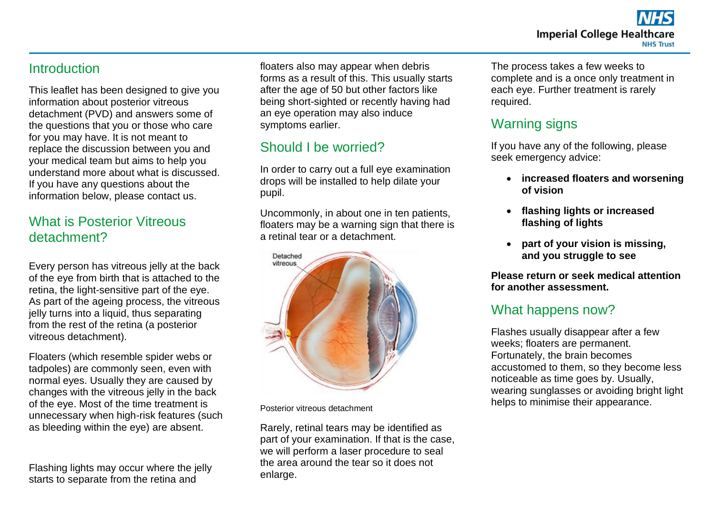#### **Introduction**

This leaflet has been designed to give you information about posterior vitreous detachment (PVD) and answers some of the questions that you or those who care for you may have. It is not meant to replace the discussion between you and your medical team but aims to help you understand more about what is discussed. If you have any questions about the information below, please contact us.

### What is Posterior Vitreous detachment?

Every person has vitreous jelly at the back of the eye from birth that is attached to the retina, the light-sensitive part of the eye. As part of the ageing process, the vitreous jelly turns into a liquid, thus separating from the rest of the retina (a posterior vitreous detachment).

Floaters (which resemble spider webs or tadpoles) are commonly seen, even with normal eyes. Usually they are caused by changes with the vitreous jelly in the back of the eye. Most of the time treatment is unnecessary when high-risk features (such as bleeding within the eye) are absent.

Flashing lights may occur where the jelly starts to separate from the retina and

floaters also may appear when debris forms as a result of this. This usually starts after the age of 50 but other factors like being short-sighted or recently having had an eye operation may also induce symptoms earlier.

# Should I be worried?

In order to carry out a full eye examination drops will be installed to help dilate your pupil.

Uncommonly, in about one in ten patients, floaters may be a warning sign that there is a retinal tear or a detachment.



Posterior vitreous detachment

Rarely, retinal tears may be identified as part of your examination. If that is the case, we will perform a laser procedure to seal the area around the tear so it does not enlarge.

The process takes a few weeks to complete and is a once only treatment in each eye. Further treatment is rarely required.

#### Warning signs

If you have any of the following, please seek emergency advice:

- **increased floaters and worsening of vision**
- **flashing lights or increased flashing of lights**
- **part of your vision is missing, and you struggle to see**

**Please return or seek medical attention for another assessment.**

## What happens now?

Flashes usually disappear after a few weeks; floaters are permanent. Fortunately, the brain becomes accustomed to them, so they become less noticeable as time goes by. Usually, wearing sunglasses or avoiding bright light helps to minimise their appearance.